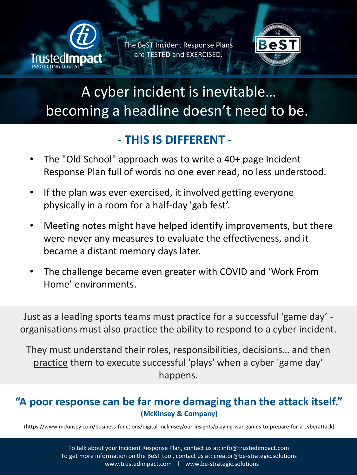

The BeST Incident Response Plans are TESTED and EXERCISED.



## A cyber incident is inevitable… becoming a headline doesn't need to be.

## **- THIS IS DIFFERENT -**

- The "Old School" approach was to write a 40+ page Incident Response Plan full of words no one ever read, no less understood.
- If the plan was ever exercised, it involved getting everyone physically in a room for a half-day 'gab fest'.
- Meeting notes might have helped identify improvements, but there were never any measures to evaluate the effectiveness, and it became a distant memory days later.
- The challenge became even greater with COVID and 'Work From Home' environments.

Just as a leading sports teams must practice for a successful 'game day' organisations must also practice the ability to respond to a cyber incident.

They must understand their roles, responsibilities, decisions… and then practice them to execute successful 'plays' when a cyber 'game day' happens.

## **"A poor response can be far more damaging than the attack itself." (McKinsey & Company)**

(https://www.mckinsey.com/business-functions/digital-mckinsey/our-insights/playing-war-games-to-prepare-for-a-cyberattack)